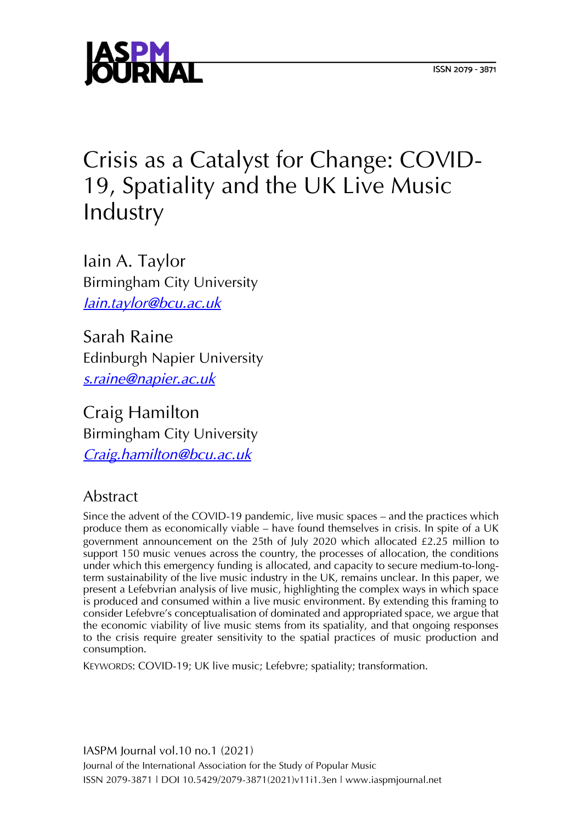

# Crisis as a Catalyst for Change: COVID-19, Spatiality and the UK Live Music Industry

Iain A. Taylor Birmingham City University *[Iain.taylor@bcu.ac.uk](mailto:Iain.taylor@bcu.ac.uk)*

Sarah Raine Edinburgh Napier University *[s.raine@napier.ac.uk](mailto:s.raine@napier.ac.uk)*

Craig Hamilton Birmingham City University *[Craig.hamilton@bcu.ac.uk](mailto:Craig.hamilton@bcu.ac.uk)*

# Abstract

Since the advent of the COVID-19 pandemic, live music spaces – and the practices which produce them as economically viable – have found themselves in crisis. In spite of a UK government announcement on the 25th of July 2020 which allocated £2.25 million to support 150 music venues across the country, the processes of allocation, the conditions under which this emergency funding is allocated, and capacity to secure medium-to-longterm sustainability of the live music industry in the UK, remains unclear. In this paper, we present a Lefebvrian analysis of live music, highlighting the complex ways in which space is produced and consumed within a live music environment. By extending this framing to consider Lefebvre's conceptualisation of dominated and appropriated space, we argue that the economic viability of live music stems from its spatiality, and that ongoing responses to the crisis require greater sensitivity to the spatial practices of music production and consumption.

KEYWORDS: COVID-19; UK live music; Lefebvre; spatiality; transformation.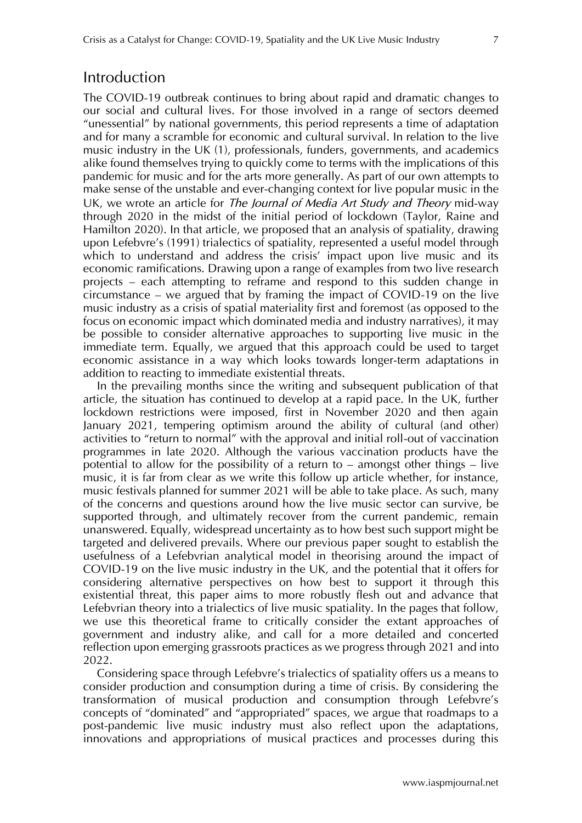#### Introduction

The COVID-19 outbreak continues to bring about rapid and dramatic changes to our social and cultural lives. For those involved in a range of sectors deemed "unessential" by national governments, this period represents a time of adaptation and for many a scramble for economic and cultural survival. In relation to the live music industry in the UK (1), professionals, funders, governments, and academics alike found themselves trying to quickly come to terms with the implications of this pandemic for music and for the arts more generally. As part of our own attempts to make sense of the unstable and ever-changing context for live popular music in the UK, we wrote an article for *The Journal of Media Art Study and Theory* mid-way through 2020 in the midst of the initial period of lockdown (Taylor, Raine and Hamilton 2020). In that article, we proposed that an analysis of spatiality, drawing upon Lefebvre's (1991) trialectics of spatiality, represented a useful model through which to understand and address the crisis' impact upon live music and its economic ramifications. Drawing upon a range of examples from two live research projects – each attempting to reframe and respond to this sudden change in circumstance – we argued that by framing the impact of COVID-19 on the live music industry as a crisis of spatial materiality first and foremost (as opposed to the focus on economic impact which dominated media and industry narratives), it may be possible to consider alternative approaches to supporting live music in the immediate term. Equally, we argued that this approach could be used to target economic assistance in a way which looks towards longer-term adaptations in addition to reacting to immediate existential threats.

In the prevailing months since the writing and subsequent publication of that article, the situation has continued to develop at a rapid pace. In the UK, further lockdown restrictions were imposed, first in November 2020 and then again January 2021, tempering optimism around the ability of cultural (and other) activities to "return to normal" with the approval and initial roll-out of vaccination programmes in late 2020. Although the various vaccination products have the potential to allow for the possibility of a return to – amongst other things – live music, it is far from clear as we write this follow up article whether, for instance, music festivals planned for summer 2021 will be able to take place. As such, many of the concerns and questions around how the live music sector can survive, be supported through, and ultimately recover from the current pandemic, remain unanswered. Equally, widespread uncertainty as to how best such support might be targeted and delivered prevails. Where our previous paper sought to establish the usefulness of a Lefebvrian analytical model in theorising around the impact of COVID-19 on the live music industry in the UK, and the potential that it offers for considering alternative perspectives on how best to support it through this existential threat, this paper aims to more robustly flesh out and advance that Lefebvrian theory into a trialectics of live music spatiality. In the pages that follow, we use this theoretical frame to critically consider the extant approaches of government and industry alike, and call for a more detailed and concerted reflection upon emerging grassroots practices as we progress through 2021 and into 2022.

Considering space through Lefebvre's trialectics of spatiality offers us a means to consider production and consumption during a time of crisis. By considering the transformation of musical production and consumption through Lefebvre's concepts of "dominated" and "appropriated" spaces, we argue that roadmaps to a post-pandemic live music industry must also reflect upon the adaptations, innovations and appropriations of musical practices and processes during this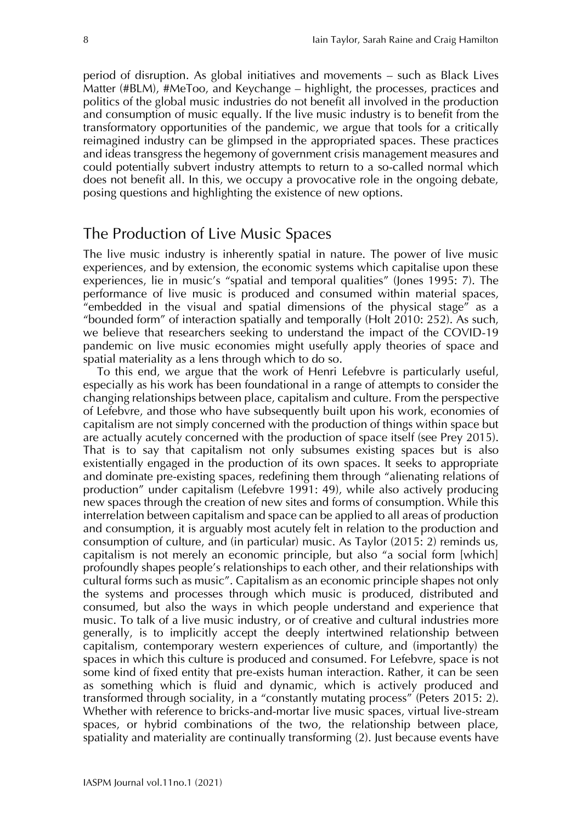period of disruption. As global initiatives and movements – such as Black Lives Matter (#BLM), #MeToo, and Keychange – highlight, the processes, practices and politics of the global music industries do not benefit all involved in the production and consumption of music equally. If the live music industry is to benefit from the transformatory opportunities of the pandemic, we argue that tools for a critically reimagined industry can be glimpsed in the appropriated spaces. These practices and ideas transgress the hegemony of government crisis management measures and could potentially subvert industry attempts to return to a so-called normal which does not benefit all. In this, we occupy a provocative role in the ongoing debate, posing questions and highlighting the existence of new options.

#### The Production of Live Music Spaces

The live music industry is inherently spatial in nature. The power of live music experiences, and by extension, the economic systems which capitalise upon these experiences, lie in music's "spatial and temporal qualities" (Jones 1995: 7). The performance of live music is produced and consumed within material spaces, "embedded in the visual and spatial dimensions of the physical stage" as a "bounded form" of interaction spatially and temporally (Holt 2010: 252). As such, we believe that researchers seeking to understand the impact of the COVID-19 pandemic on live music economies might usefully apply theories of space and spatial materiality as a lens through which to do so.

To this end, we argue that the work of Henri Lefebvre is particularly useful, especially as his work has been foundational in a range of attempts to consider the changing relationships between place, capitalism and culture. From the perspective of Lefebvre, and those who have subsequently built upon his work, economies of capitalism are not simply concerned with the production of things within space but are actually acutely concerned with the production of space itself (see Prey 2015). That is to say that capitalism not only subsumes existing spaces but is also existentially engaged in the production of its own spaces. It seeks to appropriate and dominate pre-existing spaces, redefining them through "alienating relations of production" under capitalism (Lefebvre 1991: 49), while also actively producing new spaces through the creation of new sites and forms of consumption. While this interrelation between capitalism and space can be applied to all areas of production and consumption, it is arguably most acutely felt in relation to the production and consumption of culture, and (in particular) music. As Taylor (2015: 2) reminds us, capitalism is not merely an economic principle, but also "a social form [which] profoundly shapes people's relationships to each other, and their relationships with cultural forms such as music". Capitalism as an economic principle shapes not only the systems and processes through which music is produced, distributed and consumed, but also the ways in which people understand and experience that music. To talk of a live music industry, or of creative and cultural industries more generally, is to implicitly accept the deeply intertwined relationship between capitalism, contemporary western experiences of culture, and (importantly) the spaces in which this culture is produced and consumed. For Lefebvre, space is not some kind of fixed entity that pre-exists human interaction. Rather, it can be seen as something which is fluid and dynamic, which is actively produced and transformed through sociality, in a "constantly mutating process" (Peters 2015: 2). Whether with reference to bricks-and-mortar live music spaces, virtual live-stream spaces, or hybrid combinations of the two, the relationship between place, spatiality and materiality are continually transforming (2). Just because events have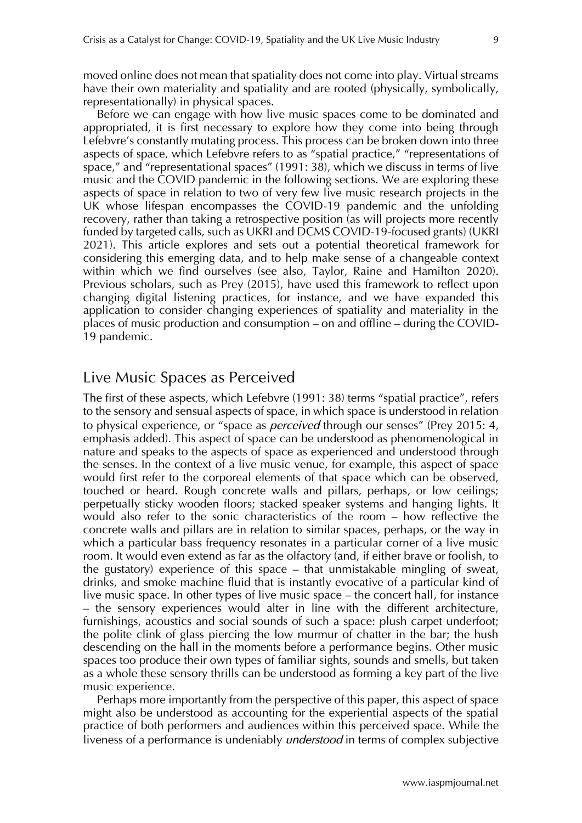moved online does not mean that spatiality does not come into play. Virtual streams have their own materiality and spatiality and are rooted (physically, symbolically, representationally) in physical spaces.

Before we can engage with how live music spaces come to be dominated and appropriated, it is first necessary to explore how they come into being through Lefebvre's constantly mutating process. This process can be broken down into three aspects of space, which Lefebvre refers to as "spatial practice," "representations of space," and "representational spaces" (1991: 38), which we discuss in terms of live music and the COVID pandemic in the following sections. We are exploring these aspects of space in relation to two of very few live music research projects in the UK whose lifespan encompasses the COVID-19 pandemic and the unfolding recovery, rather than taking a retrospective position (as will projects more recently funded by targeted calls, such as UKRI and DCMS COVID-19-focused grants) (UKRI 2021). This article explores and sets out a potential theoretical framework for considering this emerging data, and to help make sense of a changeable context within which we find ourselves (see also, Taylor, Raine and Hamilton 2020). Previous scholars, such as Prey (2015), have used this framework to reflect upon changing digital listening practices, for instance, and we have expanded this application to consider changing experiences of spatiality and materiality in the places of music production and consumption – on and offline – during the COVID-19 pandemic.

## Live Music Spaces as Perceived

The first of these aspects, which Lefebvre (1991: 38) terms "spatial practice", refers to the sensory and sensual aspects of space, in which space is understood in relation to physical experience, or "space as *perceived* through our senses" (Prey 2015: 4, emphasis added). This aspect of space can be understood as phenomenological in nature and speaks to the aspects of space as experienced and understood through the senses. In the context of a live music venue, for example, this aspect of space would first refer to the corporeal elements of that space which can be observed, touched or heard. Rough concrete walls and pillars, perhaps, or low ceilings; perpetually sticky wooden floors; stacked speaker systems and hanging lights. It would also refer to the sonic characteristics of the room – how reflective the concrete walls and pillars are in relation to similar spaces, perhaps, or the way in which a particular bass frequency resonates in a particular corner of a live music room. It would even extend as far as the olfactory (and, if either brave or foolish, to the gustatory) experience of this space – that unmistakable mingling of sweat, drinks, and smoke machine fluid that is instantly evocative of a particular kind of live music space. In other types of live music space – the concert hall, for instance – the sensory experiences would alter in line with the different architecture, furnishings, acoustics and social sounds of such a space: plush carpet underfoot; the polite clink of glass piercing the low murmur of chatter in the bar; the hush descending on the hall in the moments before a performance begins. Other music spaces too produce their own types of familiar sights, sounds and smells, but taken as a whole these sensory thrills can be understood as forming a key part of the live music experience.

Perhaps more importantly from the perspective of this paper, this aspect of space might also be understood as accounting for the experiential aspects of the spatial practice of both performers and audiences within this perceived space. While the liveness of a performance is undeniably *understood* in terms of complex subjective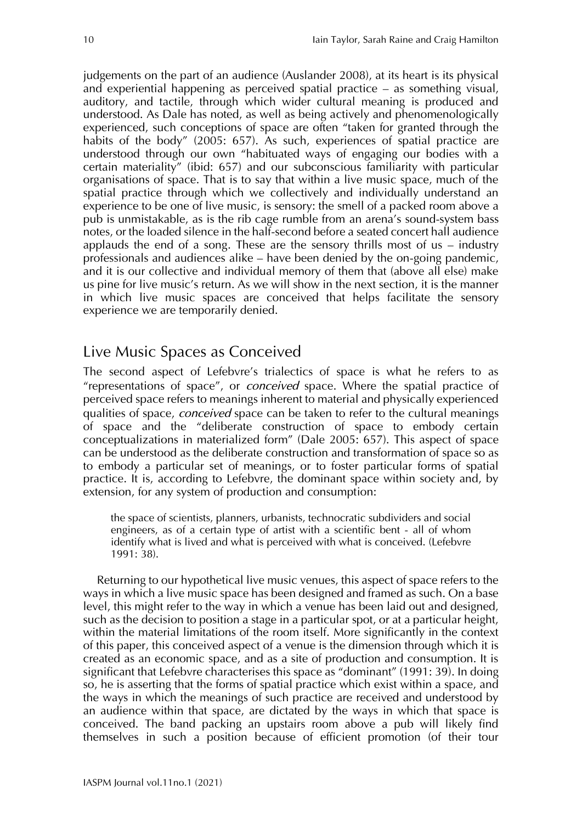judgements on the part of an audience (Auslander 2008), at its heart is its physical and experiential happening as perceived spatial practice – as something visual, auditory, and tactile, through which wider cultural meaning is produced and understood. As Dale has noted, as well as being actively and phenomenologically experienced, such conceptions of space are often "taken for granted through the habits of the body" (2005: 657). As such, experiences of spatial practice are understood through our own "habituated ways of engaging our bodies with a certain materiality" (ibid: 657) and our subconscious familiarity with particular organisations of space. That is to say that within a live music space, much of the spatial practice through which we collectively and individually understand an experience to be one of live music, is sensory: the smell of a packed room above a pub is unmistakable, as is the rib cage rumble from an arena's sound-system bass notes, or the loaded silence in the half-second before a seated concert hall audience applauds the end of a song. These are the sensory thrills most of us – industry professionals and audiences alike – have been denied by the on-going pandemic, and it is our collective and individual memory of them that (above all else) make us pine for live music's return. As we will show in the next section, it is the manner in which live music spaces are conceived that helps facilitate the sensory experience we are temporarily denied.

# Live Music Spaces as Conceived

The second aspect of Lefebvre's trialectics of space is what he refers to as "representations of space", or *conceived* space. Where the spatial practice of perceived space refers to meanings inherent to material and physically experienced qualities of space, *conceived* space can be taken to refer to the cultural meanings of space and the "deliberate construction of space to embody certain conceptualizations in materialized form" (Dale 2005: 657). This aspect of space can be understood as the deliberate construction and transformation of space so as to embody a particular set of meanings, or to foster particular forms of spatial practice. It is, according to Lefebvre, the dominant space within society and, by extension, for any system of production and consumption:

the space of scientists, planners, urbanists, technocratic subdividers and social engineers, as of a certain type of artist with a scientific bent - all of whom identify what is lived and what is perceived with what is conceived. (Lefebvre 1991: 38).

Returning to our hypothetical live music venues, this aspect of space refers to the ways in which a live music space has been designed and framed as such. On a base level, this might refer to the way in which a venue has been laid out and designed, such as the decision to position a stage in a particular spot, or at a particular height, within the material limitations of the room itself. More significantly in the context of this paper, this conceived aspect of a venue is the dimension through which it is created as an economic space, and as a site of production and consumption. It is significant that Lefebvre characterises this space as "dominant" (1991: 39). In doing so, he is asserting that the forms of spatial practice which exist within a space, and the ways in which the meanings of such practice are received and understood by an audience within that space, are dictated by the ways in which that space is conceived. The band packing an upstairs room above a pub will likely find themselves in such a position because of efficient promotion (of their tour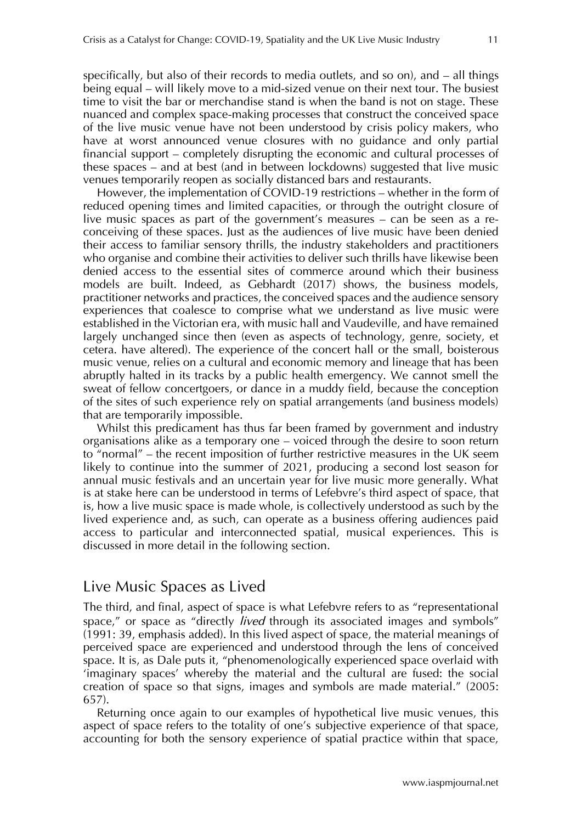specifically, but also of their records to media outlets, and so on), and – all things being equal – will likely move to a mid-sized venue on their next tour. The busiest time to visit the bar or merchandise stand is when the band is not on stage. These nuanced and complex space-making processes that construct the conceived space of the live music venue have not been understood by crisis policy makers, who have at worst announced venue closures with no guidance and only partial financial support – completely disrupting the economic and cultural processes of these spaces – and at best (and in between lockdowns) suggested that live music venues temporarily reopen as socially distanced bars and restaurants.

However, the implementation of COVID-19 restrictions – whether in the form of reduced opening times and limited capacities, or through the outright closure of live music spaces as part of the government's measures – can be seen as a reconceiving of these spaces. Just as the audiences of live music have been denied their access to familiar sensory thrills, the industry stakeholders and practitioners who organise and combine their activities to deliver such thrills have likewise been denied access to the essential sites of commerce around which their business models are built. Indeed, as Gebhardt (2017) shows, the business models, practitioner networks and practices, the conceived spaces and the audience sensory experiences that coalesce to comprise what we understand as live music were established in the Victorian era, with music hall and Vaudeville, and have remained largely unchanged since then (even as aspects of technology, genre, society, et cetera. have altered). The experience of the concert hall or the small, boisterous music venue, relies on a cultural and economic memory and lineage that has been abruptly halted in its tracks by a public health emergency. We cannot smell the sweat of fellow concertgoers, or dance in a muddy field, because the conception of the sites of such experience rely on spatial arrangements (and business models) that are temporarily impossible.

Whilst this predicament has thus far been framed by government and industry organisations alike as a temporary one – voiced through the desire to soon return to "normal" – the recent imposition of further restrictive measures in the UK seem likely to continue into the summer of 2021, producing a second lost season for annual music festivals and an uncertain year for live music more generally. What is at stake here can be understood in terms of Lefebvre's third aspect of space, that is, how a live music space is made whole, is collectively understood as such by the lived experience and, as such, can operate as a business offering audiences paid access to particular and interconnected spatial, musical experiences. This is discussed in more detail in the following section.

## Live Music Spaces as Lived

The third, and final, aspect of space is what Lefebvre refers to as "representational space," or space as "directly *lived* through its associated images and symbols" (1991: 39, emphasis added). In this lived aspect of space, the material meanings of perceived space are experienced and understood through the lens of conceived space. It is, as Dale puts it, "phenomenologically experienced space overlaid with 'imaginary spaces' whereby the material and the cultural are fused: the social creation of space so that signs, images and symbols are made material." (2005: 657).

Returning once again to our examples of hypothetical live music venues, this aspect of space refers to the totality of one's subjective experience of that space, accounting for both the sensory experience of spatial practice within that space,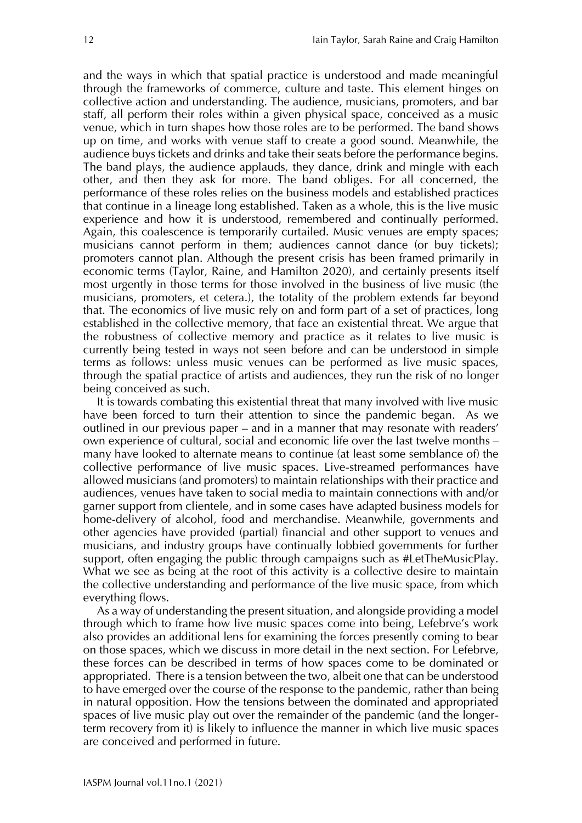and the ways in which that spatial practice is understood and made meaningful through the frameworks of commerce, culture and taste. This element hinges on collective action and understanding. The audience, musicians, promoters, and bar staff, all perform their roles within a given physical space, conceived as a music venue, which in turn shapes how those roles are to be performed. The band shows up on time, and works with venue staff to create a good sound. Meanwhile, the audience buys tickets and drinks and take their seats before the performance begins. The band plays, the audience applauds, they dance, drink and mingle with each other, and then they ask for more. The band obliges. For all concerned, the performance of these roles relies on the business models and established practices that continue in a lineage long established. Taken as a whole, this is the live music experience and how it is understood, remembered and continually performed. Again, this coalescence is temporarily curtailed. Music venues are empty spaces; musicians cannot perform in them; audiences cannot dance (or buy tickets); promoters cannot plan. Although the present crisis has been framed primarily in economic terms (Taylor, Raine, and Hamilton 2020), and certainly presents itself most urgently in those terms for those involved in the business of live music (the musicians, promoters, et cetera.), the totality of the problem extends far beyond that. The economics of live music rely on and form part of a set of practices, long established in the collective memory, that face an existential threat. We argue that the robustness of collective memory and practice as it relates to live music is currently being tested in ways not seen before and can be understood in simple terms as follows: unless music venues can be performed as live music spaces, through the spatial practice of artists and audiences, they run the risk of no longer being conceived as such.

It is towards combating this existential threat that many involved with live music have been forced to turn their attention to since the pandemic began. As we outlined in our previous paper – and in a manner that may resonate with readers' own experience of cultural, social and economic life over the last twelve months – many have looked to alternate means to continue (at least some semblance of) the collective performance of live music spaces. Live-streamed performances have allowed musicians (and promoters) to maintain relationships with their practice and audiences, venues have taken to social media to maintain connections with and/or garner support from clientele, and in some cases have adapted business models for home-delivery of alcohol, food and merchandise. Meanwhile, governments and other agencies have provided (partial) financial and other support to venues and musicians, and industry groups have continually lobbied governments for further support, often engaging the public through campaigns such as #LetTheMusicPlay. What we see as being at the root of this activity is a collective desire to maintain the collective understanding and performance of the live music space, from which everything flows.

As a way of understanding the present situation, and alongside providing a model through which to frame how live music spaces come into being, Lefebrve's work also provides an additional lens for examining the forces presently coming to bear on those spaces, which we discuss in more detail in the next section. For Lefebrve, these forces can be described in terms of how spaces come to be dominated or appropriated. There is a tension between the two, albeit one that can be understood to have emerged over the course of the response to the pandemic, rather than being in natural opposition. How the tensions between the dominated and appropriated spaces of live music play out over the remainder of the pandemic (and the longerterm recovery from it) is likely to influence the manner in which live music spaces are conceived and performed in future.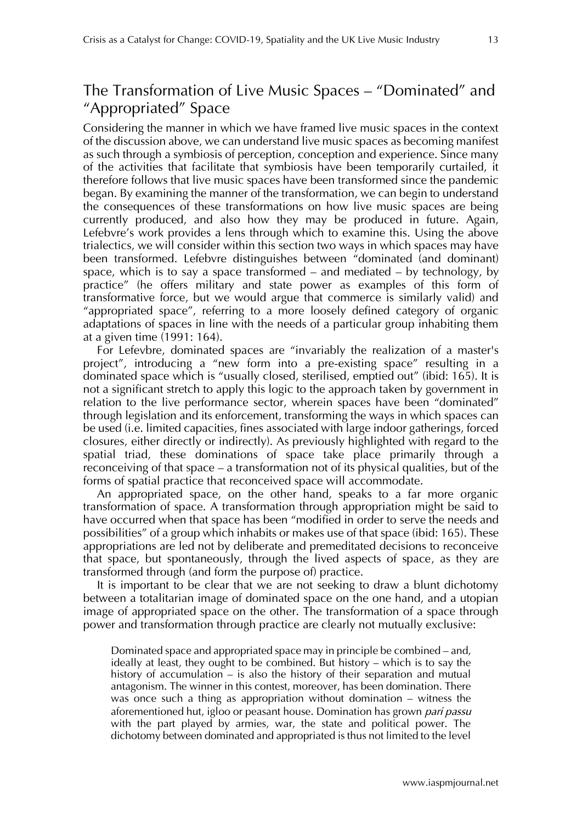# The Transformation of Live Music Spaces – "Dominated" and "Appropriated" Space

Considering the manner in which we have framed live music spaces in the context of the discussion above, we can understand live music spaces as becoming manifest as such through a symbiosis of perception, conception and experience. Since many of the activities that facilitate that symbiosis have been temporarily curtailed, it therefore follows that live music spaces have been transformed since the pandemic began. By examining the manner of the transformation, we can begin to understand the consequences of these transformations on how live music spaces are being currently produced, and also how they may be produced in future. Again, Lefebvre's work provides a lens through which to examine this. Using the above trialectics, we will consider within this section two ways in which spaces may have been transformed. Lefebvre distinguishes between "dominated (and dominant) space, which is to say a space transformed – and mediated – by technology, by practice" (he offers military and state power as examples of this form of transformative force, but we would argue that commerce is similarly valid) and "appropriated space", referring to a more loosely defined category of organic adaptations of spaces in line with the needs of a particular group inhabiting them at a given time (1991: 164).

For Lefevbre, dominated spaces are "invariably the realization of a master's project", introducing a "new form into a pre-existing space" resulting in a dominated space which is "usually closed, sterilised, emptied out" (ibid: 165). It is not a significant stretch to apply this logic to the approach taken by government in relation to the live performance sector, wherein spaces have been "dominated" through legislation and its enforcement, transforming the ways in which spaces can be used (i.e. limited capacities, fines associated with large indoor gatherings, forced closures, either directly or indirectly). As previously highlighted with regard to the spatial triad, these dominations of space take place primarily through a reconceiving of that space – a transformation not of its physical qualities, but of the forms of spatial practice that reconceived space will accommodate.

An appropriated space, on the other hand, speaks to a far more organic transformation of space. A transformation through appropriation might be said to have occurred when that space has been "modified in order to serve the needs and possibilities" of a group which inhabits or makes use of that space (ibid: 165). These appropriations are led not by deliberate and premeditated decisions to reconceive that space, but spontaneously, through the lived aspects of space, as they are transformed through (and form the purpose of) practice.

It is important to be clear that we are not seeking to draw a blunt dichotomy between a totalitarian image of dominated space on the one hand, and a utopian image of appropriated space on the other. The transformation of a space through power and transformation through practice are clearly not mutually exclusive:

Dominated space and appropriated space may in principle be combined – and, ideally at least, they ought to be combined. But history – which is to say the history of accumulation – is also the history of their separation and mutual antagonism. The winner in this contest, moreover, has been domination. There was once such a thing as appropriation without domination – witness the aforementioned hut, igloo or peasant house. Domination has grown *pari passu*  with the part played by armies, war, the state and political power. The dichotomy between dominated and appropriated is thus not limited to the level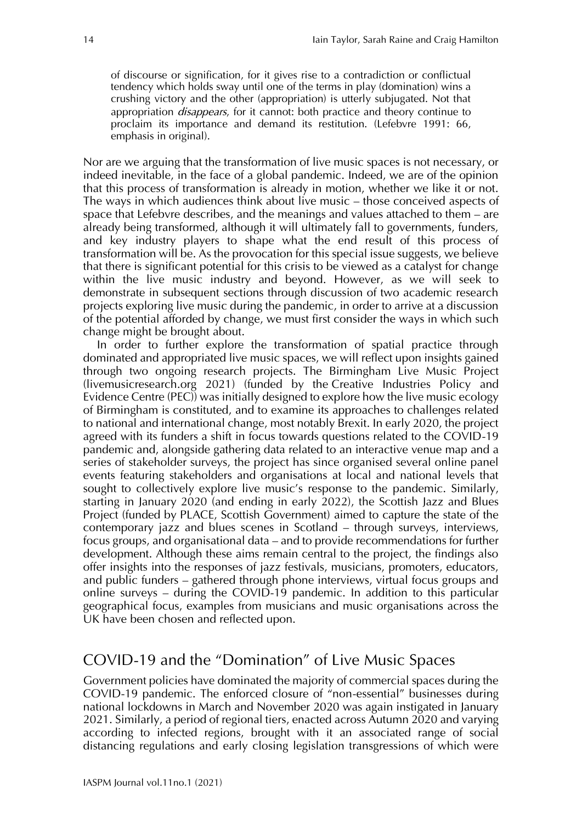of discourse or signification, for it gives rise to a contradiction or conflictual tendency which holds sway until one of the terms in play (domination) wins a crushing victory and the other (appropriation) is utterly subjugated. Not that appropriation *disappears*, for it cannot: both practice and theory continue to proclaim its importance and demand its restitution. (Lefebvre 1991: 66, emphasis in original).

Nor are we arguing that the transformation of live music spaces is not necessary, or indeed inevitable, in the face of a global pandemic. Indeed, we are of the opinion that this process of transformation is already in motion, whether we like it or not. The ways in which audiences think about live music – those conceived aspects of space that Lefebvre describes, and the meanings and values attached to them – are already being transformed, although it will ultimately fall to governments, funders, and key industry players to shape what the end result of this process of transformation will be. As the provocation for this special issue suggests, we believe that there is significant potential for this crisis to be viewed as a catalyst for change within the live music industry and beyond. However, as we will seek to demonstrate in subsequent sections through discussion of two academic research projects exploring live music during the pandemic, in order to arrive at a discussion of the potential afforded by change, we must first consider the ways in which such change might be brought about.

In order to further explore the transformation of spatial practice through dominated and appropriated live music spaces, we will reflect upon insights gained through two ongoing research projects. The Birmingham Live Music Project (livemusicresearch.org 2021) (funded by the Creative Industries Policy and Evidence Centre (PEC)) was initially designed to explore how the live music ecology of Birmingham is constituted, and to examine its approaches to challenges related to national and international change, most notably Brexit. In early 2020, the project agreed with its funders a shift in focus towards questions related to the COVID-19 pandemic and, alongside gathering data related to an interactive venue map and a series of stakeholder surveys, the project has since organised several online panel events featuring stakeholders and organisations at local and national levels that sought to collectively explore live music's response to the pandemic. Similarly, starting in January 2020 (and ending in early 2022), the Scottish Jazz and Blues Project (funded by PLACE, Scottish Government) aimed to capture the state of the contemporary jazz and blues scenes in Scotland – through surveys, interviews, focus groups, and organisational data – and to provide recommendations for further development. Although these aims remain central to the project, the findings also offer insights into the responses of jazz festivals, musicians, promoters, educators, and public funders – gathered through phone interviews, virtual focus groups and online surveys – during the COVID-19 pandemic. In addition to this particular geographical focus, examples from musicians and music organisations across the UK have been chosen and reflected upon.

# COVID-19 and the "Domination" of Live Music Spaces

Government policies have dominated the majority of commercial spaces during the COVID-19 pandemic. The enforced closure of "non-essential" businesses during national lockdowns in March and November 2020 was again instigated in January 2021. Similarly, a period of regional tiers, enacted across Autumn 2020 and varying according to infected regions, brought with it an associated range of social distancing regulations and early closing legislation transgressions of which were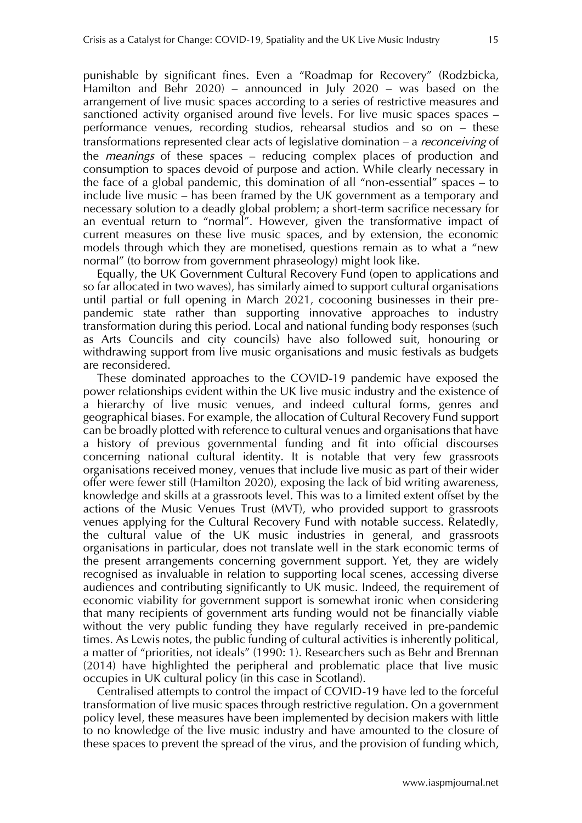punishable by significant fines. Even a "Roadmap for Recovery" (Rodzbicka, Hamilton and Behr 2020) – announced in July 2020 – was based on the arrangement of live music spaces according to a series of restrictive measures and sanctioned activity organised around five levels. For live music spaces spaces – performance venues, recording studios, rehearsal studios and so on – these transformations represented clear acts of legislative domination – a *reconceiving* of the *meanings* of these spaces – reducing complex places of production and consumption to spaces devoid of purpose and action. While clearly necessary in the face of a global pandemic, this domination of all "non-essential" spaces – to include live music – has been framed by the UK government as a temporary and necessary solution to a deadly global problem; a short-term sacrifice necessary for an eventual return to "normal". However, given the transformative impact of current measures on these live music spaces, and by extension, the economic models through which they are monetised, questions remain as to what a "new normal" (to borrow from government phraseology) might look like.

Equally, the UK Government Cultural Recovery Fund (open to applications and so far allocated in two waves), has similarly aimed to support cultural organisations until partial or full opening in March 2021, cocooning businesses in their prepandemic state rather than supporting innovative approaches to industry transformation during this period. Local and national funding body responses (such as Arts Councils and city councils) have also followed suit, honouring or withdrawing support from live music organisations and music festivals as budgets are reconsidered.

These dominated approaches to the COVID-19 pandemic have exposed the power relationships evident within the UK live music industry and the existence of a hierarchy of live music venues, and indeed cultural forms, genres and geographical biases. For example, the allocation of Cultural Recovery Fund support can be broadly plotted with reference to cultural venues and organisations that have a history of previous governmental funding and fit into official discourses concerning national cultural identity. It is notable that very few grassroots organisations received money, venues that include live music as part of their wider offer were fewer still (Hamilton 2020), exposing the lack of bid writing awareness, knowledge and skills at a grassroots level. This was to a limited extent offset by the actions of the Music Venues Trust (MVT), who provided support to grassroots venues applying for the Cultural Recovery Fund with notable success. Relatedly, the cultural value of the UK music industries in general, and grassroots organisations in particular, does not translate well in the stark economic terms of the present arrangements concerning government support. Yet, they are widely recognised as invaluable in relation to supporting local scenes, accessing diverse audiences and contributing significantly to UK music. Indeed, the requirement of economic viability for government support is somewhat ironic when considering that many recipients of government arts funding would not be financially viable without the very public funding they have regularly received in pre-pandemic times. As Lewis notes, the public funding of cultural activities is inherently political, a matter of "priorities, not ideals" (1990: 1). Researchers such as Behr and Brennan (2014) have highlighted the peripheral and problematic place that live music occupies in UK cultural policy (in this case in Scotland).

Centralised attempts to control the impact of COVID-19 have led to the forceful transformation of live music spaces through restrictive regulation. On a government policy level, these measures have been implemented by decision makers with little to no knowledge of the live music industry and have amounted to the closure of these spaces to prevent the spread of the virus, and the provision of funding which,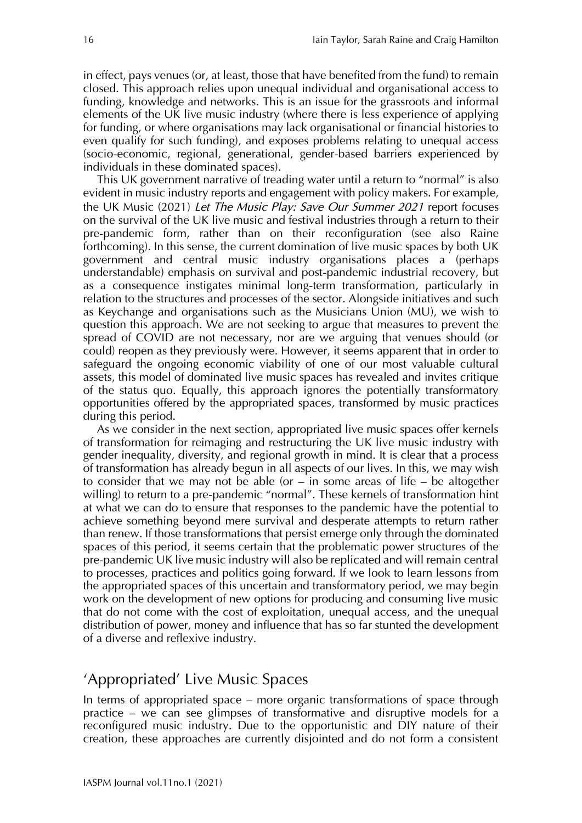in effect, pays venues (or, at least, those that have benefited from the fund) to remain closed. This approach relies upon unequal individual and organisational access to funding, knowledge and networks. This is an issue for the grassroots and informal elements of the UK live music industry (where there is less experience of applying for funding, or where organisations may lack organisational or financial histories to even qualify for such funding), and exposes problems relating to unequal access (socio-economic, regional, generational, gender-based barriers experienced by individuals in these dominated spaces).

This UK government narrative of treading water until a return to "normal" is also evident in music industry reports and engagement with policy makers. For example, the UK Music (2021) *Let The Music Play: Save Our Summer 2021* report focuses on the survival of the UK live music and festival industries through a return to their pre-pandemic form, rather than on their reconfiguration (see also Raine forthcoming). In this sense, the current domination of live music spaces by both UK government and central music industry organisations places a (perhaps understandable) emphasis on survival and post-pandemic industrial recovery, but as a consequence instigates minimal long-term transformation, particularly in relation to the structures and processes of the sector. Alongside initiatives and such as Keychange and organisations such as the Musicians Union (MU), we wish to question this approach. We are not seeking to argue that measures to prevent the spread of COVID are not necessary, nor are we arguing that venues should (or could) reopen as they previously were. However, it seems apparent that in order to safeguard the ongoing economic viability of one of our most valuable cultural assets, this model of dominated live music spaces has revealed and invites critique of the status quo. Equally, this approach ignores the potentially transformatory opportunities offered by the appropriated spaces, transformed by music practices during this period.

As we consider in the next section, appropriated live music spaces offer kernels of transformation for reimaging and restructuring the UK live music industry with gender inequality, diversity, and regional growth in mind. It is clear that a process of transformation has already begun in all aspects of our lives. In this, we may wish to consider that we may not be able (or – in some areas of life – be altogether willing) to return to a pre-pandemic "normal". These kernels of transformation hint at what we can do to ensure that responses to the pandemic have the potential to achieve something beyond mere survival and desperate attempts to return rather than renew. If those transformations that persist emerge only through the dominated spaces of this period, it seems certain that the problematic power structures of the pre-pandemic UK live music industry will also be replicated and will remain central to processes, practices and politics going forward. If we look to learn lessons from the appropriated spaces of this uncertain and transformatory period, we may begin work on the development of new options for producing and consuming live music that do not come with the cost of exploitation, unequal access, and the unequal distribution of power, money and influence that has so far stunted the development of a diverse and reflexive industry.

## 'Appropriated' Live Music Spaces

In terms of appropriated space – more organic transformations of space through practice – we can see glimpses of transformative and disruptive models for a reconfigured music industry. Due to the opportunistic and DIY nature of their creation, these approaches are currently disjointed and do not form a consistent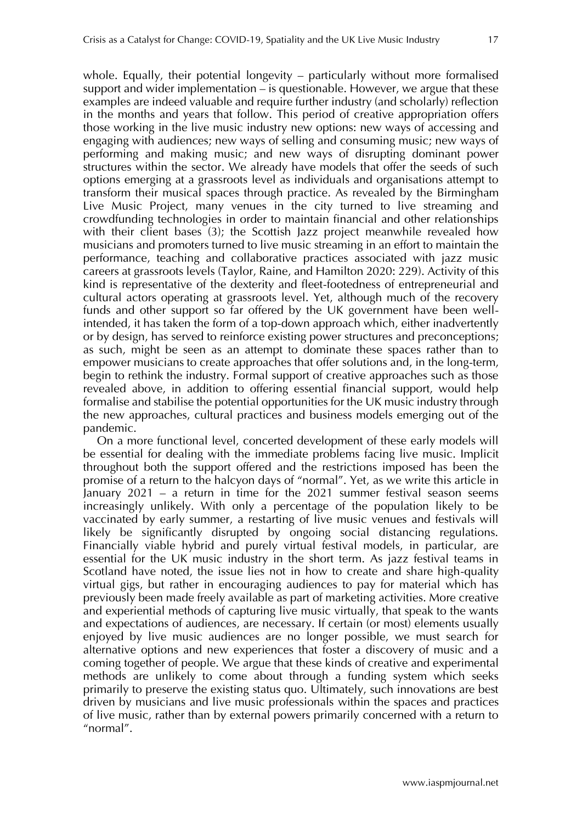whole. Equally, their potential longevity – particularly without more formalised support and wider implementation – is questionable. However, we argue that these examples are indeed valuable and require further industry (and scholarly) reflection in the months and years that follow. This period of creative appropriation offers those working in the live music industry new options: new ways of accessing and engaging with audiences; new ways of selling and consuming music; new ways of performing and making music; and new ways of disrupting dominant power structures within the sector. We already have models that offer the seeds of such options emerging at a grassroots level as individuals and organisations attempt to transform their musical spaces through practice. As revealed by the Birmingham Live Music Project, many venues in the city turned to live streaming and crowdfunding technologies in order to maintain financial and other relationships with their client bases (3); the Scottish Jazz project meanwhile revealed how musicians and promoters turned to live music streaming in an effort to maintain the performance, teaching and collaborative practices associated with jazz music careers at grassroots levels (Taylor, Raine, and Hamilton 2020: 229). Activity of this kind is representative of the dexterity and fleet-footedness of entrepreneurial and cultural actors operating at grassroots level. Yet, although much of the recovery funds and other support so far offered by the UK government have been wellintended, it has taken the form of a top-down approach which, either inadvertently or by design, has served to reinforce existing power structures and preconceptions; as such, might be seen as an attempt to dominate these spaces rather than to empower musicians to create approaches that offer solutions and, in the long-term, begin to rethink the industry. Formal support of creative approaches such as those revealed above, in addition to offering essential financial support, would help formalise and stabilise the potential opportunities for the UK music industry through the new approaches, cultural practices and business models emerging out of the pandemic.

On a more functional level, concerted development of these early models will be essential for dealing with the immediate problems facing live music. Implicit throughout both the support offered and the restrictions imposed has been the promise of a return to the halcyon days of "normal". Yet, as we write this article in January 2021 – a return in time for the 2021 summer festival season seems increasingly unlikely. With only a percentage of the population likely to be vaccinated by early summer, a restarting of live music venues and festivals will likely be significantly disrupted by ongoing social distancing regulations. Financially viable hybrid and purely virtual festival models, in particular, are essential for the UK music industry in the short term. As jazz festival teams in Scotland have noted, the issue lies not in how to create and share high-quality virtual gigs, but rather in encouraging audiences to pay for material which has previously been made freely available as part of marketing activities. More creative and experiential methods of capturing live music virtually, that speak to the wants and expectations of audiences, are necessary. If certain (or most) elements usually enjoyed by live music audiences are no longer possible, we must search for alternative options and new experiences that foster a discovery of music and a coming together of people. We argue that these kinds of creative and experimental methods are unlikely to come about through a funding system which seeks primarily to preserve the existing status quo. Ultimately, such innovations are best driven by musicians and live music professionals within the spaces and practices of live music, rather than by external powers primarily concerned with a return to "normal".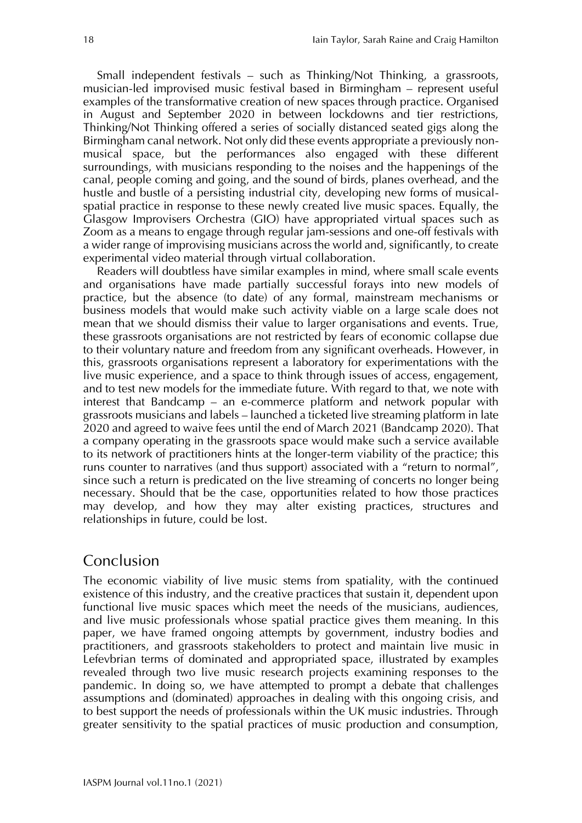Small independent festivals – such as Thinking/Not Thinking, a grassroots, musician-led improvised music festival based in Birmingham – represent useful examples of the transformative creation of new spaces through practice. Organised in August and September 2020 in between lockdowns and tier restrictions, Thinking/Not Thinking offered a series of socially distanced seated gigs along the Birmingham canal network. Not only did these events appropriate a previously nonmusical space, but the performances also engaged with these different surroundings, with musicians responding to the noises and the happenings of the canal, people coming and going, and the sound of birds, planes overhead, and the hustle and bustle of a persisting industrial city, developing new forms of musicalspatial practice in response to these newly created live music spaces. Equally, the Glasgow Improvisers Orchestra (GIO) have appropriated virtual spaces such as Zoom as a means to engage through regular jam-sessions and one-off festivals with a wider range of improvising musicians across the world and, significantly, to create experimental video material through virtual collaboration.

Readers will doubtless have similar examples in mind, where small scale events and organisations have made partially successful forays into new models of practice, but the absence (to date) of any formal, mainstream mechanisms or business models that would make such activity viable on a large scale does not mean that we should dismiss their value to larger organisations and events. True, these grassroots organisations are not restricted by fears of economic collapse due to their voluntary nature and freedom from any significant overheads. However, in this, grassroots organisations represent a laboratory for experimentations with the live music experience, and a space to think through issues of access, engagement, and to test new models for the immediate future. With regard to that, we note with interest that Bandcamp – an e-commerce platform and network popular with grassroots musicians and labels – launched a ticketed live streaming platform in late 2020 and agreed to waive fees until the end of March 2021 (Bandcamp 2020). That a company operating in the grassroots space would make such a service available to its network of practitioners hints at the longer-term viability of the practice; this runs counter to narratives (and thus support) associated with a "return to normal", since such a return is predicated on the live streaming of concerts no longer being necessary. Should that be the case, opportunities related to how those practices may develop, and how they may alter existing practices, structures and relationships in future, could be lost.

## Conclusion

The economic viability of live music stems from spatiality, with the continued existence of this industry, and the creative practices that sustain it, dependent upon functional live music spaces which meet the needs of the musicians, audiences, and live music professionals whose spatial practice gives them meaning. In this paper, we have framed ongoing attempts by government, industry bodies and practitioners, and grassroots stakeholders to protect and maintain live music in Lefevbrian terms of dominated and appropriated space, illustrated by examples revealed through two live music research projects examining responses to the pandemic. In doing so, we have attempted to prompt a debate that challenges assumptions and (dominated) approaches in dealing with this ongoing crisis, and to best support the needs of professionals within the UK music industries. Through greater sensitivity to the spatial practices of music production and consumption,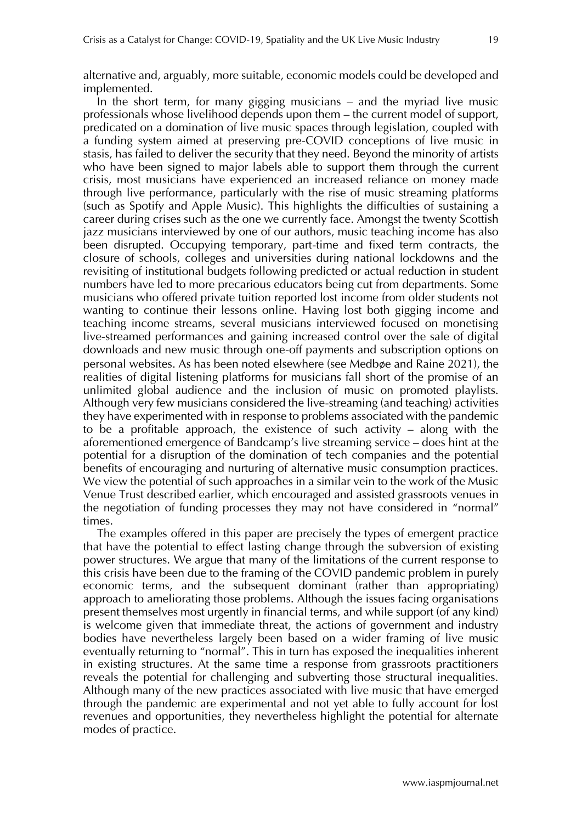alternative and, arguably, more suitable, economic models could be developed and implemented.

In the short term, for many gigging musicians – and the myriad live music professionals whose livelihood depends upon them – the current model of support, predicated on a domination of live music spaces through legislation, coupled with a funding system aimed at preserving pre-COVID conceptions of live music in stasis, has failed to deliver the security that they need. Beyond the minority of artists who have been signed to major labels able to support them through the current crisis, most musicians have experienced an increased reliance on money made through live performance, particularly with the rise of music streaming platforms (such as Spotify and Apple Music). This highlights the difficulties of sustaining a career during crises such as the one we currently face. Amongst the twenty Scottish jazz musicians interviewed by one of our authors, music teaching income has also been disrupted. Occupying temporary, part-time and fixed term contracts, the closure of schools, colleges and universities during national lockdowns and the revisiting of institutional budgets following predicted or actual reduction in student numbers have led to more precarious educators being cut from departments. Some musicians who offered private tuition reported lost income from older students not wanting to continue their lessons online. Having lost both gigging income and teaching income streams, several musicians interviewed focused on monetising live-streamed performances and gaining increased control over the sale of digital downloads and new music through one-off payments and subscription options on personal websites. As has been noted elsewhere (see Medbøe and Raine 2021), the realities of digital listening platforms for musicians fall short of the promise of an unlimited global audience and the inclusion of music on promoted playlists. Although very few musicians considered the live-streaming (and teaching) activities they have experimented with in response to problems associated with the pandemic to be a profitable approach, the existence of such activity – along with the aforementioned emergence of Bandcamp's live streaming service – does hint at the potential for a disruption of the domination of tech companies and the potential benefits of encouraging and nurturing of alternative music consumption practices. We view the potential of such approaches in a similar vein to the work of the Music Venue Trust described earlier, which encouraged and assisted grassroots venues in the negotiation of funding processes they may not have considered in "normal" times.

The examples offered in this paper are precisely the types of emergent practice that have the potential to effect lasting change through the subversion of existing power structures. We argue that many of the limitations of the current response to this crisis have been due to the framing of the COVID pandemic problem in purely economic terms, and the subsequent dominant (rather than appropriating) approach to ameliorating those problems. Although the issues facing organisations present themselves most urgently in financial terms, and while support (of any kind) is welcome given that immediate threat, the actions of government and industry bodies have nevertheless largely been based on a wider framing of live music eventually returning to "normal". This in turn has exposed the inequalities inherent in existing structures. At the same time a response from grassroots practitioners reveals the potential for challenging and subverting those structural inequalities. Although many of the new practices associated with live music that have emerged through the pandemic are experimental and not yet able to fully account for lost revenues and opportunities, they nevertheless highlight the potential for alternate modes of practice.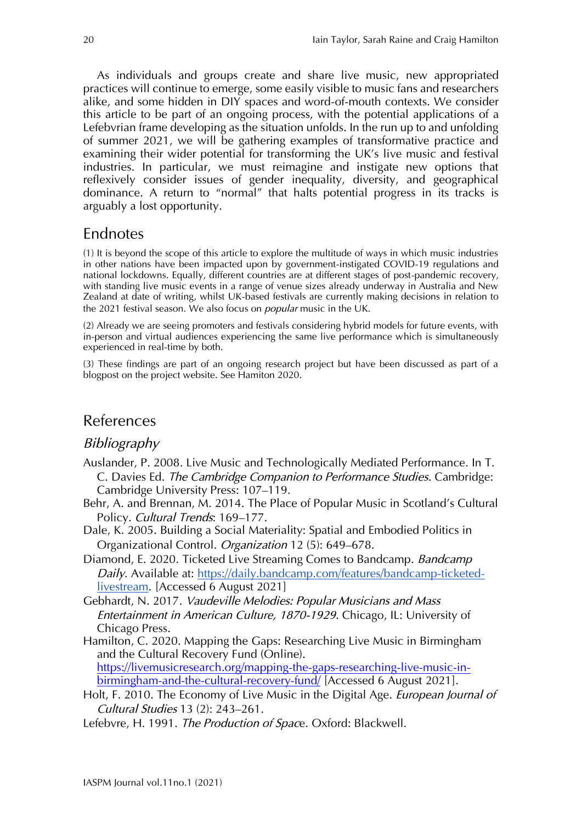As individuals and groups create and share live music, new appropriated practices will continue to emerge, some easily visible to music fans and researchers alike, and some hidden in DIY spaces and word-of-mouth contexts. We consider this article to be part of an ongoing process, with the potential applications of a Lefebvrian frame developing as the situation unfolds. In the run up to and unfolding of summer 2021, we will be gathering examples of transformative practice and examining their wider potential for transforming the UK's live music and festival industries. In particular, we must reimagine and instigate new options that reflexively consider issues of gender inequality, diversity, and geographical dominance. A return to "normal" that halts potential progress in its tracks is arguably a lost opportunity.

# Endnotes

(1) It is beyond the scope of this article to explore the multitude of ways in which music industries in other nations have been impacted upon by government-instigated COVID-19 regulations and national lockdowns. Equally, different countries are at different stages of post-pandemic recovery, with standing live music events in a range of venue sizes already underway in Australia and New Zealand at date of writing, whilst UK-based festivals are currently making decisions in relation to the 2021 festival season. We also focus on *popular* music in the UK.

(2) Already we are seeing promoters and festivals considering hybrid models for future events, with in-person and virtual audiences experiencing the same live performance which is simultaneously experienced in real-time by both.

(3) These findings are part of an ongoing research project but have been discussed as part of a blogpost on the project website. See Hamiton 2020.

# References

#### *Bibliography*

- Auslander, P. 2008. Live Music and Technologically Mediated Performance. In T. C. Davies Ed. *The Cambridge Companion to Performance Studies*. Cambridge: Cambridge University Press: 107–119.
- Behr, A. and Brennan, M. 2014. The Place of Popular Music in Scotland's Cultural Policy. *Cultural Trends*: 169–177.
- Dale, K. 2005. Building a Social Materiality: Spatial and Embodied Politics in Organizational Control. *Organization* 12 (5): 649–678.
- Diamond, E. 2020. Ticketed Live Streaming Comes to Bandcamp. *Bandcamp Daily*. Available at: [https://daily.bandcamp.com/features/bandcamp-ticketed](https://daily.bandcamp.com/features/bandcamp-ticketed-livestream)[livestream.](https://daily.bandcamp.com/features/bandcamp-ticketed-livestream) [Accessed 6 August 2021]
- Gebhardt, N. 2017. *Vaudeville Melodies: Popular Musicians and Mass Entertainment in American Culture, 1870-1929.* Chicago, IL: University of Chicago Press.
- Hamilton, C. 2020. Mapping the Gaps: Researching Live Music in Birmingham and the Cultural Recovery Fund (Online). [https://livemusicresearch.org/mapping-the-gaps-researching-live-music-in](https://livemusicresearch.org/mapping-the-gaps-researching-live-music-in-birmingham-and-the-cultural-recovery-fund/)[birmingham-and-the-cultural-recovery-fund/](https://livemusicresearch.org/mapping-the-gaps-researching-live-music-in-birmingham-and-the-cultural-recovery-fund/) [Accessed 6 August 2021].
- Holt, F. 2010. The Economy of Live Music in the Digital Age. *European Journal of Cultural Studies* 13 (2): 243–261.
- Lefebvre, H. 1991. *The Production of Spac*e. Oxford: Blackwell.